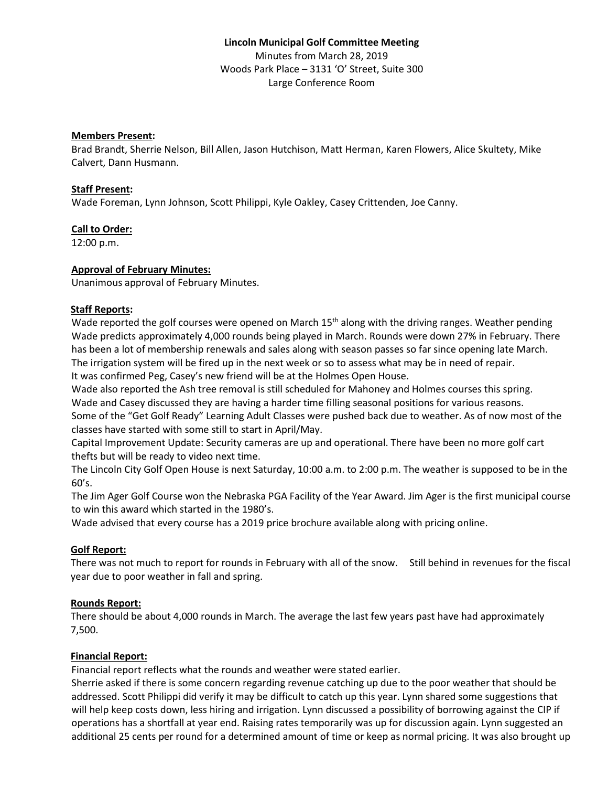# **Lincoln Municipal Golf Committee Meeting** Minutes from March 28, 2019 Woods Park Place – 3131 'O' Street, Suite 300 Large Conference Room

## **Members Present:**

Brad Brandt, Sherrie Nelson, Bill Allen, Jason Hutchison, Matt Herman, Karen Flowers, Alice Skultety, Mike Calvert, Dann Husmann.

#### **Staff Present:**

Wade Foreman, Lynn Johnson, Scott Philippi, Kyle Oakley, Casey Crittenden, Joe Canny.

## **Call to Order:**

12:00 p.m.

## **Approval of February Minutes:**

Unanimous approval of February Minutes.

## **Staff Reports:**

Wade reported the golf courses were opened on March 15<sup>th</sup> along with the driving ranges. Weather pending Wade predicts approximately 4,000 rounds being played in March. Rounds were down 27% in February. There has been a lot of membership renewals and sales along with season passes so far since opening late March. The irrigation system will be fired up in the next week or so to assess what may be in need of repair. It was confirmed Peg, Casey's new friend will be at the Holmes Open House.

Wade also reported the Ash tree removal is still scheduled for Mahoney and Holmes courses this spring. Wade and Casey discussed they are having a harder time filling seasonal positions for various reasons.

Some of the "Get Golf Ready" Learning Adult Classes were pushed back due to weather. As of now most of the classes have started with some still to start in April/May.

Capital Improvement Update: Security cameras are up and operational. There have been no more golf cart thefts but will be ready to video next time.

The Lincoln City Golf Open House is next Saturday, 10:00 a.m. to 2:00 p.m. The weather is supposed to be in the 60's.

The Jim Ager Golf Course won the Nebraska PGA Facility of the Year Award. Jim Ager is the first municipal course to win this award which started in the 1980's.

Wade advised that every course has a 2019 price brochure available along with pricing online.

## **Golf Report:**

There was not much to report for rounds in February with all of the snow. Still behind in revenues for the fiscal year due to poor weather in fall and spring.

## **Rounds Report:**

There should be about 4,000 rounds in March. The average the last few years past have had approximately 7,500.

## **Financial Report:**

Financial report reflects what the rounds and weather were stated earlier.

Sherrie asked if there is some concern regarding revenue catching up due to the poor weather that should be addressed. Scott Philippi did verify it may be difficult to catch up this year. Lynn shared some suggestions that will help keep costs down, less hiring and irrigation. Lynn discussed a possibility of borrowing against the CIP if operations has a shortfall at year end. Raising rates temporarily was up for discussion again. Lynn suggested an additional 25 cents per round for a determined amount of time or keep as normal pricing. It was also brought up